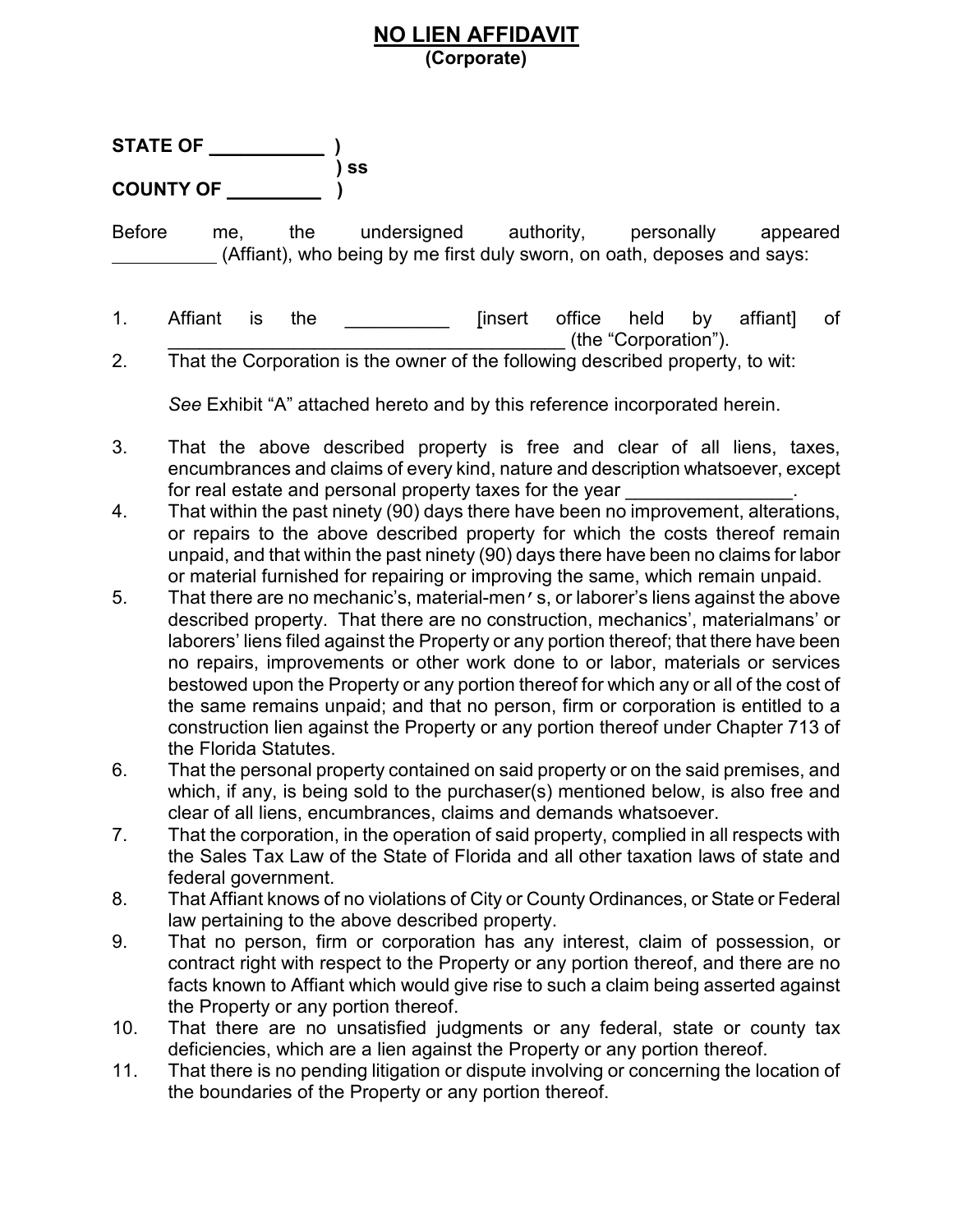## **NO LIEN AFFIDAVIT (Corporate)**

| <b>STATE OF</b>  |      |
|------------------|------|
|                  | ) SS |
| <b>COUNTY OF</b> |      |

Before me, the undersigned authority, personally appeared (Affiant), who being by me first duly sworn, on oath, deposes and says:

- 1. Affiant is the \_\_\_\_\_\_\_\_\_\_ [insert office held by affiant] of \_\_\_\_\_\_\_\_\_\_\_\_\_\_\_\_\_\_\_\_\_\_\_\_\_\_\_\_\_\_\_\_\_\_\_\_\_\_ (the "Corporation").
- 2. That the Corporation is the owner of the following described property, to wit:

*See* Exhibit "A" attached hereto and by this reference incorporated herein.

- 3. That the above described property is free and clear of all liens, taxes, encumbrances and claims of every kind, nature and description whatsoever, except for real estate and personal property taxes for the year
- 4. That within the past ninety (90) days there have been no improvement, alterations, or repairs to the above described property for which the costs thereof remain unpaid, and that within the past ninety (90) days there have been no claims for labor or material furnished for repairing or improving the same, which remain unpaid.
- 5. That there are no mechanic's, material-men's, or laborer's liens against the above described property. That there are no construction, mechanics', materialmans' or laborers' liens filed against the Property or any portion thereof; that there have been no repairs, improvements or other work done to or labor, materials or services bestowed upon the Property or any portion thereof for which any or all of the cost of the same remains unpaid; and that no person, firm or corporation is entitled to a construction lien against the Property or any portion thereof under Chapter 713 of the Florida Statutes.
- 6. That the personal property contained on said property or on the said premises, and which, if any, is being sold to the purchaser(s) mentioned below, is also free and clear of all liens, encumbrances, claims and demands whatsoever.
- 7. That the corporation, in the operation of said property, complied in all respects with the Sales Tax Law of the State of Florida and all other taxation laws of state and federal government.
- 8. That Affiant knows of no violations of City or County Ordinances, or State or Federal law pertaining to the above described property.
- 9. That no person, firm or corporation has any interest, claim of possession, or contract right with respect to the Property or any portion thereof, and there are no facts known to Affiant which would give rise to such a claim being asserted against the Property or any portion thereof.
- 10. That there are no unsatisfied judgments or any federal, state or county tax deficiencies, which are a lien against the Property or any portion thereof.
- 11. That there is no pending litigation or dispute involving or concerning the location of the boundaries of the Property or any portion thereof.